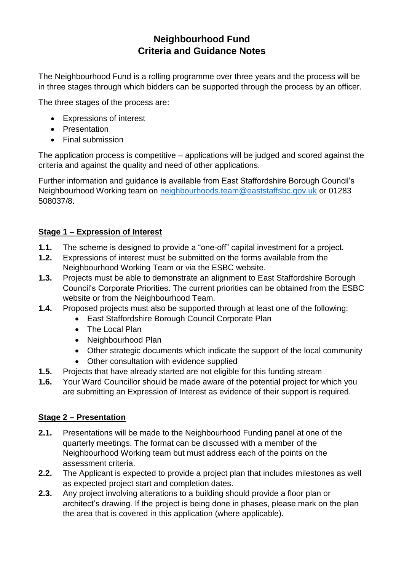# **Neighbourhood Fund Criteria and Guidance Notes**

The Neighbourhood Fund is a rolling programme over three years and the process will be in three stages through which bidders can be supported through the process by an officer.

The three stages of the process are:

- Expressions of interest
- Presentation
- Final submission

The application process is competitive – applications will be judged and scored against the criteria and against the quality and need of other applications.

Further information and guidance is available from East Staffordshire Borough Council's Neighbourhood Working team on [neighbourhoods.team@eaststaffsbc.gov.uk](mailto:neighbourhoods.team@eaststaffsbc.gov.uk) or 01283 508037/8.

## **Stage 1 – Expression of Interest**

- **1.1.** The scheme is designed to provide a "one-off" capital investment for a project.
- **1.2.** Expressions of interest must be submitted on the forms available from the Neighbourhood Working Team or via the ESBC website.
- **1.3.** Projects must be able to demonstrate an alignment to East Staffordshire Borough Council's Corporate Priorities. The current priorities can be obtained from the ESBC website or from the Neighbourhood Team.
- **1.4.** Proposed projects must also be supported through at least one of the following:
	- East Staffordshire Borough Council Corporate Plan
	- The Local Plan
	- Neighbourhood Plan
	- Other strategic documents which indicate the support of the local community
	- Other consultation with evidence supplied
- **1.5.** Projects that have already started are not eligible for this funding stream
- **1.6.** Your Ward Councillor should be made aware of the potential project for which you are submitting an Expression of Interest as evidence of their support is required.

## **Stage 2 – Presentation**

- **2.1.** Presentations will be made to the Neighbourhood Funding panel at one of the quarterly meetings. The format can be discussed with a member of the Neighbourhood Working team but must address each of the points on the assessment criteria.
- **2.2.** The Applicant is expected to provide a project plan that includes milestones as well as expected project start and completion dates.
- **2.3.** Any project involving alterations to a building should provide a floor plan or architect's drawing. If the project is being done in phases, please mark on the plan the area that is covered in this application (where applicable).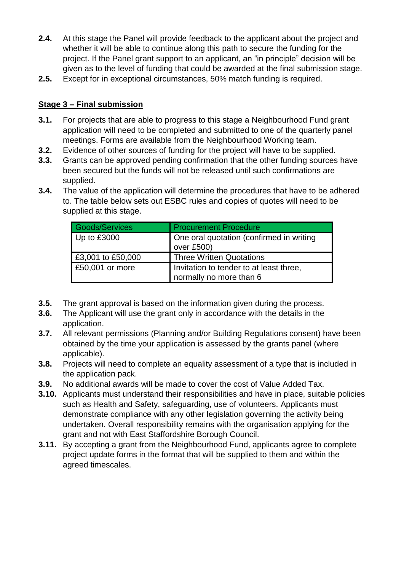- **2.4.** At this stage the Panel will provide feedback to the applicant about the project and whether it will be able to continue along this path to secure the funding for the project. If the Panel grant support to an applicant, an "in principle" decision will be given as to the level of funding that could be awarded at the final submission stage.
- **2.5.** Except for in exceptional circumstances, 50% match funding is required.

#### **Stage 3 – Final submission**

- **3.1.** For projects that are able to progress to this stage a Neighbourhood Fund grant application will need to be completed and submitted to one of the quarterly panel meetings. Forms are available from the Neighbourhood Working team.
- **3.2.** Evidence of other sources of funding for the project will have to be supplied.
- **3.3.** Grants can be approved pending confirmation that the other funding sources have been secured but the funds will not be released until such confirmations are supplied.
- **3.4.** The value of the application will determine the procedures that have to be adhered to. The table below sets out ESBC rules and copies of quotes will need to be supplied at this stage.

| Goods/Services    | <b>Procurement Procedure</b>                                       |
|-------------------|--------------------------------------------------------------------|
| Up to £3000       | One oral quotation (confirmed in writing<br>over £500)             |
| £3,001 to £50,000 | <b>Three Written Quotations</b>                                    |
| £50,001 or more   | Invitation to tender to at least three,<br>normally no more than 6 |

- **3.5.** The grant approval is based on the information given during the process.
- **3.6.** The Applicant will use the grant only in accordance with the details in the application.
- **3.7.** All relevant permissions (Planning and/or Building Regulations consent) have been obtained by the time your application is assessed by the grants panel (where applicable).
- **3.8.** Projects will need to complete an equality assessment of a type that is included in the application pack.
- **3.9.** No additional awards will be made to cover the cost of Value Added Tax.
- **3.10.** Applicants must understand their responsibilities and have in place, suitable policies such as Health and Safety, safeguarding, use of volunteers. Applicants must demonstrate compliance with any other legislation governing the activity being undertaken. Overall responsibility remains with the organisation applying for the grant and not with East Staffordshire Borough Council.
- **3.11.** By accepting a grant from the Neighbourhood Fund, applicants agree to complete project update forms in the format that will be supplied to them and within the agreed timescales.